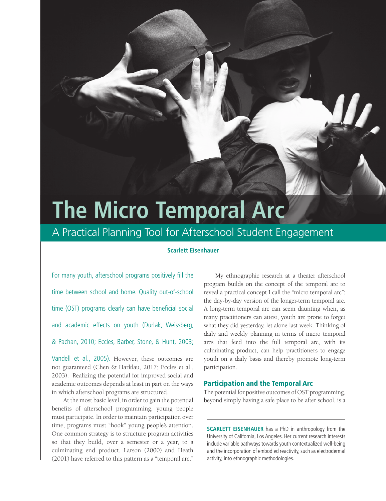# **The Micro Temporal Arc**

# A Practical Planning Tool for Afterschool Student Engagement

# **Scarlett Eisenhauer**

For many youth, afterschool programs positively fill the time between school and home. Quality out-of-school time (OST) programs clearly can have beneficial social and academic effects on youth (Durlak, Weissberg, & Pachan, 2010; Eccles, Barber, Stone, & Hunt, 2003;

Vandell et al., 2005). However, these outcomes are not guaranteed (Chen & Harklau, 2017; Eccles et al., 2003). Realizing the potential for improved social and academic outcomes depends at least in part on the ways in which afterschool programs are structured.

At the most basic level, in order to gain the potential benefits of afterschool programming, young people must participate. In order to maintain participation over time, programs must "hook" young people's attention. One common strategy is to structure program activities so that they build, over a semester or a year, to a culminating end product. Larson (2000) and Heath (2001) have referred to this pattern as a "temporal arc."

My ethnographic research at a theater afterschool program builds on the concept of the temporal arc to reveal a practical concept I call the "micro temporal arc": the day-by-day version of the longer-term temporal arc. A long-term temporal arc can seem daunting when, as many practitioners can attest, youth are prone to forget what they did yesterday, let alone last week. Thinking of daily and weekly planning in terms of micro temporal arcs that feed into the full temporal arc, with its culminating product, can help practitioners to engage youth on a daily basis and thereby promote long-term participation.

## Participation and the Temporal Arc

The potential for positive outcomes of OST programming, beyond simply having a safe place to be after school, is a

**SCARLETT EISENHAUER** has a PhD in anthropology from the University of California, Los Angeles. Her current research interests include variable pathways towards youth contextualized well-being and the incorporation of embodied reactivity, such as electrodermal activity, into ethnographic methodologies.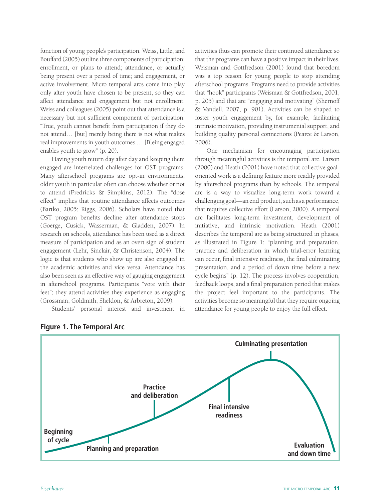function of young people's participation. Weiss, Little, and Bouffard (2005) outline three components of participation: enrollment, or plans to attend; attendance, or actually being present over a period of time; and engagement, or active involvement. Micro temporal arcs come into play only after youth have chosen to be present, so they can affect attendance and engagement but not enrollment. Weiss and colleagues (2005) point out that attendance is a necessary but not sufficient component of participation: "True, youth cannot benefit from participation if they do not attend… [but] merely being there is not what makes real improvements in youth outcomes.… [B]eing engaged enables youth to grow" (p. 20).

Having youth return day after day and keeping them engaged are interrelated challenges for OST programs. Many afterschool programs are opt-in environments; older youth in particular often can choose whether or not to attend (Fredricks & Simpkins, 2012). The "dose effect" implies that routine attendance affects outcomes (Bartko, 2005; Riggs, 2006). Scholars have noted that OST program benefits decline after attendance stops (Goerge, Cusick, Wasserman, & Gladden, 2007). In research on schools, attendance has been used as a direct measure of participation and as an overt sign of student engagement (Lehr, Sinclair, & Christenson, 2004). The logic is that students who show up are also engaged in the academic activities and vice versa. Attendance has also been seen as an effective way of gauging engagement in afterschool programs. Participants "vote with their feet"; they attend activities they experience as engaging (Grossman, Goldmith, Sheldon, & Arbreton, 2009).

Students' personal interest and investment in

activities thus can promote their continued attendance so that the programs can have a positive impact in their lives. Weisman and Gottfredson (2001) found that boredom was a top reason for young people to stop attending afterschool programs. Programs need to provide activities that "hook" participants (Weisman & Gottfredson, 2001, p. 205) and that are "engaging and motivating" (Shernoff & Vandell, 2007, p. 901). Activities can be shaped to foster youth engagement by, for example, facilitating intrinsic motivation, providing instrumental support, and building quality personal connections (Pearce & Larson, 2006).

One mechanism for encouraging participation through meaningful activities is the temporal arc. Larson (2000) and Heath (2001) have noted that collective goaloriented work is a defining feature more readily provided by afterschool programs than by schools. The temporal arc is a way to visualize long-term work toward a challenging goal—an end product, such as a performance, that requires collective effort (Larson, 2000). A temporal arc facilitates long-term investment, development of initiative, and intrinsic motivation. Heath (2001) describes the temporal arc as being structured in phases, as illustrated in Figure 1: "planning and preparation, practice and deliberation in which trial-error learning can occur, final intensive readiness, the final culminating presentation, and a period of down time before a new cycle begins" (p. 12). The process involves cooperation, feedback loops, and a final preparation period that makes the project feel important to the participants. The activities become so meaningful that they require ongoing attendance for young people to enjoy the full effect.



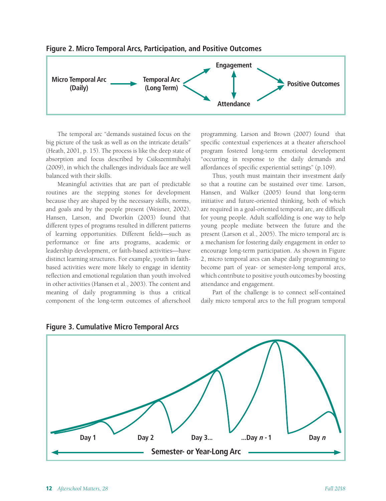

## **Figure 2. Micro Temporal Arcs, Participation, and Positive Outcomes**

The temporal arc "demands sustained focus on the big picture of the task as well as on the intricate details" (Heath, 2001, p. 15). The process is like the deep state of absorption and focus described by Csikszentmihalyi (2009), in which the challenges individuals face are well balanced with their skills.

Meaningful activities that are part of predictable routines are the stepping stones for development because they are shaped by the necessary skills, norms, and goals and by the people present (Weisner, 2002). Hansen, Larson, and Dworkin (2003) found that different types of programs resulted in different patterns of learning opportunities. Different fields—such as performance or fine arts programs, academic or leadership development, or faith-based activities—have distinct learning structures. For example, youth in faithbased activities were more likely to engage in identity reflection and emotional regulation than youth involved in other activities (Hansen et al., 2003). The content and meaning of daily programming is thus a critical component of the long-term outcomes of afterschool programming. Larson and Brown (2007) found that specific contextual experiences at a theater afterschool program fostered long-term emotional development "occurring in response to the daily demands and affordances of specific experiential settings" (p.109).

Thus, youth must maintain their investment *daily* so that a routine can be sustained over time. Larson, Hansen, and Walker (2005) found that long-term initiative and future-oriented thinking, both of which are required in a goal-oriented temporal arc, are difficult for young people. Adult scaffolding is one way to help young people mediate between the future and the present (Larson et al., 2005). The micro temporal arc is a mechanism for fostering daily engagement in order to encourage long-term participation. As shown in Figure 2, micro temporal arcs can shape daily programming to become part of year- or semester-long temporal arcs, which contribute to positive youth outcomes by boosting attendance and engagement.

Part of the challenge is to connect self-contained daily micro temporal arcs to the full program temporal



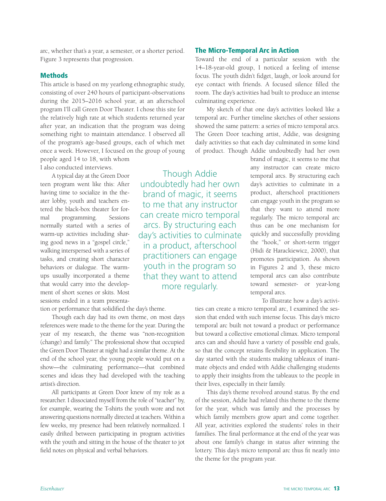arc, whether that's a year, a semester, or a shorter period. Figure 3 represents that progression.

# Methods

This article is based on my yearlong ethnographic study, consisting of over 240 hours of participant-observations during the 2015–2016 school year, at an afterschool program I'll call Green Door Theater. I chose this site for the relatively high rate at which students returned year after year, an indication that the program was doing something right to maintain attendance. I observed all of the program's age-based groups, each of which met once a week. However, I focused on the group of young people aged 14 to 18, with whom

I also conducted interviews.

A typical day at the Green Door teen program went like this: After having time to socialize in the theater lobby, youth and teachers entered the black-box theater for formal programming. Sessions normally started with a series of warm-up activities including sharing good news in a "gospel circle," walking interspersed with a series of tasks, and creating short character behaviors or dialogue. The warmups usually incorporated a theme that would carry into the development of short scenes or skits. Most sessions ended in a team presenta-

tion or performance that solidified the day's theme.

Though each day had its own theme, on most days references were made to the theme for the year. During the year of my research, the theme was "non-recognition (change) and family." The professional show that occupied the Green Door Theater at night had a similar theme. At the end of the school year, the young people would put on a show—the culminating performance—that combined scenes and ideas they had developed with the teaching artist's direction.

All participants at Green Door knew of my role as a researcher. I dissociated myself from the role of "teacher" by, for example, wearing the T-shirts the youth wore and not answering questions normally directed at teachers. Within a few weeks, my presence had been relatively normalized. I easily drifted between participating in program activities with the youth and sitting in the house of the theater to jot field notes on physical and verbal behaviors.

Though Addie undoubtedly had her own brand of magic, it seems to me that any instructor can create micro temporal arcs. By structuring each day's activities to culminate in a product, afterschool practitioners can engage youth in the program so that they want to attend more regularly.

# The Micro-Temporal Arc in Action

Toward the end of a particular session with the 14–18-year-old group, I noticed a feeling of intense focus. The youth didn't fidget, laugh, or look around for eye contact with friends. A focused silence filled the room. The day's activities had built to produce an intense culminating experience.

My sketch of that one day's activities looked like a temporal arc. Further timeline sketches of other sessions showed the same pattern: a series of micro temporal arcs. The Green Door teaching artist, Addie, was designing daily activities so that each day culminated in some kind of product. Though Addie undoubtedly had her own

> brand of magic, it seems to me that any instructor can create micro temporal arcs. By structuring each day's activities to culminate in a product, afterschool practitioners can engage youth in the program so that they want to attend more regularly. The micro temporal arc thus can be one mechanism for quickly and successfully providing the "hook," or short-term trigger (Hidi & Harackiewicz, 2000), that promotes participation. As shown in Figures 2 and 3, these micro temporal arcs can also contribute toward semester- or year-long temporal arcs.

To illustrate how a day's activi-

ties can create a micro temporal arc, I examined the session that ended with such intense focus. This day's micro temporal arc built not toward a product or performance but toward a collective emotional climax. Micro temporal arcs can and should have a variety of possible end goals, so that the concept retains flexibility in application. The day started with the students making tableaux of inanimate objects and ended with Addie challenging students to apply their insights from the tableaux to the people in their lives, especially in their family.

This day's theme revolved around status. By the end of the session, Addie had related this theme to the theme for the year, which was family and the processes by which family members grow apart and come together. All year, activities explored the students' roles in their families. The final performance at the end of the year was about one family's change in status after winning the lottery. This day's micro temporal arc thus fit neatly into the theme for the program year.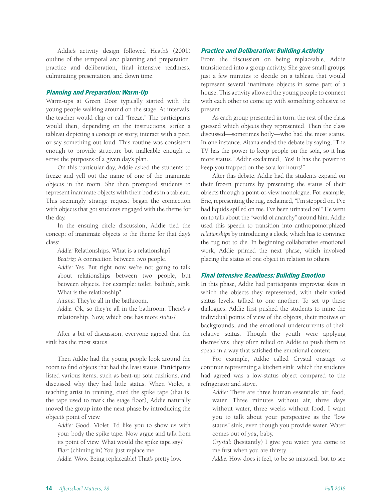Addie's activity design followed Heath's (2001) outline of the temporal arc: planning and preparation, practice and deliberation, final intensive readiness, culminating presentation, and down time.

#### Planning and Preparation: Warm-Up

Warm-ups at Green Door typically started with the young people walking around on the stage. At intervals, the teacher would clap or call "freeze." The participants would then, depending on the instructions, strike a tableau depicting a concept or story, interact with a peer, or say something out loud. This routine was consistent enough to provide structure but malleable enough to serve the purposes of a given day's plan.

On this particular day, Addie asked the students to freeze and yell out the name of one of the inanimate objects in the room. She then prompted students to represent inanimate objects with their bodies in a tableau. This seemingly strange request began the connection with objects that got students engaged with the theme for the day.

In the ensuing circle discussion, Addie tied the concept of inanimate objects to the theme for that day's class:

*Addie:* Relationships. What is a relationship?

*Beatriz:* A connection between two people.

*Addie:* Yes. But right now we're not going to talk about relationships between two people, but between objects. For example: toilet, bathtub, sink. What is the relationship?

*Aitana:* They're all in the bathroom.

*Addie:* Ok, so they're all in the bathroom. There's a relationship. Now, which one has more *status*?

After a bit of discussion, everyone agreed that the sink has the most status.

Then Addie had the young people look around the room to find objects that had the least status. Participants listed various items, such as beat-up sofa cushions, and discussed why they had little status. When Violet, a teaching artist in training, cited the spike tape (that is, the tape used to mark the stage floor), Addie naturally moved the group into the next phase by introducing the object's point of view.

*Addie:* Good. Violet, I'd like you to show us with your body the spike tape. Now argue and talk from its point of view. What would the spike tape say? *Flor:* (chiming in) You just replace me.

*Addie:* Wow. Being replaceable! That's pretty low.

#### Practice and Deliberation: Building Activity

From the discussion on being replaceable, Addie transitioned into a group activity. She gave small groups just a few minutes to decide on a tableau that would represent several inanimate objects in some part of a house. This activity allowed the young people to connect with each other to come up with something cohesive to present.

As each group presented in turn, the rest of the class guessed which objects they represented. Then the class discussed—sometimes hotly—who had the most status. In one instance, Aitana ended the debate by saying, "The TV has the power to keep people on the sofa, so it has more status." Addie exclaimed, "Yes! It has the power to keep you trapped on the sofa for hours!"

After this debate, Addie had the students expand on their frozen pictures by presenting the status of their objects through a point-of-view monologue. For example, Eric, representing the rug, exclaimed, "I'm stepped on. I've had liquids spilled on me. I've been urinated on!" He went on to talk about the "world of anarchy" around him. Addie used this speech to transition into anthropomorphized *relationships* by introducing a clock, which has to convince the rug not to die. In beginning collaborative emotional work, Addie primed the next phase, which involved placing the status of one object in relation to others.

#### Final Intensive Readiness: Building Emotion

In this phase, Addie had participants improvise skits in which the objects they represented, with their varied status levels, talked to one another. To set up these dialogues, Addie first pushed the students to mine the individual points of view of the objects, their motives or backgrounds, and the emotional undercurrents of their relative status. Though the youth were applying themselves, they often relied on Addie to push them to speak in a way that satisfied the emotional content.

For example, Addie called Crystal onstage to continue representing a kitchen sink, which the students had agreed was a low-status object compared to the refrigerator and stove.

*Addie:* There are three human essentials: air, food, water. Three minutes without air, three days without water, three weeks without food. I want you to talk about your perspective as the "low status" sink, even though you provide water. Water comes out of *you*, baby.

*Crystal:* (hesitantly) I give you water, you come to me first when you are thirsty.…

*Addie:* How does it feel, to be so misused, but to see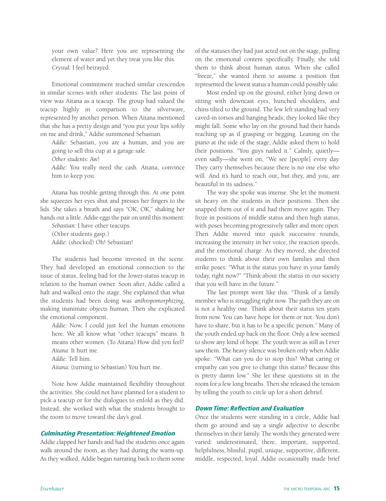your own value? Here you are representing the element of water and yet they treat you like this. *Crystal:* I feel betrayed.

Emotional commitment reached similar crescendos in similar scenes with other students. The last point of view was Aitana as a teacup. The group had valued the teacup highly in comparison to the silverware, represented by another person. When Aitana mentioned that she has a pretty design and "you put your lips softly on me and drink," Addie summoned Sebastian.

*Addie:* Sebastian, you are a human, and you are going to sell this cup at a garage sale.

*Other students:* Aw!

*Addie:* You really need the cash. Aitana, convince him to keep you.

Aitana has trouble getting through this. At one point she squeezes her eyes shut and presses her fingers to the lids. She takes a breath and says "OK, OK," shaking her hands out a little. Addie eggs the pair on until this moment:

*Sebastian:* I have other teacups. (Other students gasp.) *Addie:* (shocked) Oh! Sebastian!

The students had become invested in the scene. They had developed an emotional connection to the issue of status, feeling bad for the lower-status teacup in relation to the human owner. Soon after, Addie called a halt and walked onto the stage. She explained that what the students had been doing was *anthropomorphizing*, making inanimate objects human. Then she explicated the emotional component.

*Addie:* Now, I could just feel the human emotions here. We all know what "other teacups" means. It means other women. (To Aitana) How did you feel? *Aitana:* It hurt me.

*Addie:* Tell him.

*Aitana:* (turning to Sebastian) You hurt me.

Note how Addie maintained flexibility throughout the activities. She could not have planned for a student to pick a teacup or for the dialogues to enfold as they did. Instead, she worked with what the students brought to the room to move toward the day's goal.

#### Culminating Presentation: Heightened Emotion

Addie clapped her hands and had the students once again walk around the room, as they had during the warm-up. As they walked, Addie began narrating back to them some of the statuses they had just acted out on the stage, pulling on the emotional content specifically. Finally, she told them to think about human status. When she called "freeze," she wanted them to assume a position that represented the lowest status a human could possibly take.

Most ended up on the ground, either lying down or sitting with downcast eyes, hunched shoulders, and chins tilted to the ground. The few left standing had very caved-in torsos and hanging heads; they looked like they might fall. Some who lay on the ground had their hands reaching up as if grasping or begging. Leaning on the piano at the side of the stage, Addie asked them to hold their positions. "You guys nailed it." Calmly, quietly even sadly—she went on, "We see [people] every day. They carry themselves because there is no one else who will. And it's hard to reach out, but they, and you, are beautiful in its sadness."

The way she spoke was intense. She let the moment sit heavy on the students in their positions. Then she snapped them out of it and had them move again. They froze in positions of middle status and then high status, with poses becoming progressively taller and more open. Then Addie moved into quick successive rounds, increasing the intensity in her voice, the reaction speeds, and the emotional charge. As they moved, she directed students to think about their own families and then strike poses: "What is the status you have in your family today, right now?" "Think about the status in our society that you will have in the future."

The last prompt went like this: "Think of a family member who is struggling right now. The path they are on is not a healthy one. Think about their status ten years from now. You can have hope for them or not. You don't have to share, but it has to be a specific person." Many of the youth ended up back on the floor. Only a few seemed to show any kind of hope. The youth were as still as I ever saw them. The heavy silence was broken only when Addie spoke: "What can you do to stop this? What caring or empathy can you give to change this status? Because this is pretty damn low." She let these questions sit in the room for a few long breaths. Then she released the tension by telling the youth to circle up for a short debrief.

# Down Time: Reflection and Evaluation

Once the students were standing in a circle, Addie had them go around and say a single adjective to describe themselves in their family. The words they generated were varied: underestimated, there, important, supported, helpfulness, blissful, pupil, unique, supportive, different, middle, respected, loyal. Addie occasionally made brief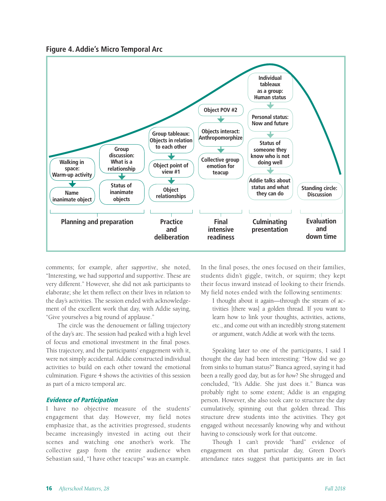



comments; for example, after *supportive*, she noted, "Interesting, we had suppor*ted* and suppor*tive*. These are very different." However, she did not ask participants to elaborate; she let them reflect on their lives in relation to the day's activities. The session ended with acknowledgement of the excellent work that day, with Addie saying, "Give yourselves a big round of applause."

The circle was the denouement or falling trajectory of the day's arc. The session had peaked with a high level of focus and emotional investment in the final poses. This trajectory, and the participants' engagement with it, were not simply accidental. Addie constructed individual activities to build on each other toward the emotional culmination. Figure 4 shows the activities of this session as part of a micro temporal arc.

#### Evidence of Participation

I have no objective measure of the students' engagement that day. However, my field notes emphasize that, as the activities progressed, students became increasingly invested in acting out their scenes and watching one another's work. The collective gasp from the entire audience when Sebastian said, "I have other teacups" was an example.

In the final poses, the ones focused on their families, students didn't giggle, twitch, or squirm; they kept their focus inward instead of looking to their friends. My field notes ended with the following sentiments:

I thought about it again—through the stream of activities [there was] a golden thread. If you want to learn how to link your thoughts, activities, actions, etc., and come out with an incredibly strong statement or argument, watch Addie at work with the teens.

Speaking later to one of the participants, I said I thought the day had been interesting: "How did we go from sinks to human status?" Bianca agreed, saying it had been a really good day, but as for *how*? She shrugged and concluded, "It's Addie. She just does it." Bianca was probably right to some extent; Addie is an engaging person. However, she also took care to structure the day cumulatively, spinning out that golden thread. This structure drew students into the activities. They got engaged without necessarily knowing why and without having to consciously work for that outcome.

Though I can't provide "hard" evidence of engagement on that particular day, Green Door's attendance rates suggest that participants are in fact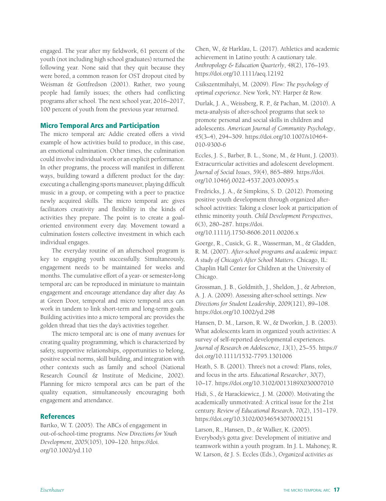engaged. The year after my fieldwork, 61 percent of the youth (not including high school graduates) returned the following year. None said that they quit because they were bored, a common reason for OST dropout cited by Weisman & Gottfredson (2001). Rather, two young people had family issues; the others had conflicting programs after school. The next school year, 2016–2017, 100 percent of youth from the previous year returned.

#### Micro Temporal Arcs and Participation

The micro temporal arc Addie created offers a vivid example of how activities build to produce, in this case, an emotional culmination. Other times, the culmination could involve individual work or an explicit performance. In other programs, the process will manifest in different ways, building toward a different product for the day: executing a challenging sports maneuver, playing difficult music in a group, or competing with a peer to practice newly acquired skills. The micro temporal arc gives facilitators creativity and flexibility in the kinds of activities they prepare. The point is to create a goaloriented environment every day. Movement toward a culmination fosters collective investment in which each individual engages.

The everyday routine of an afterschool program is key to engaging youth successfully. Simultaneously, engagement needs to be maintained for weeks and months. The cumulative effort of a year- or semester-long temporal arc can be reproduced in miniature to maintain engagement and encourage attendance day after day. As at Green Door, temporal and micro temporal arcs can work in tandem to link short-term and long-term goals. Building activities into a micro temporal arc provides the golden thread that ties the day's activities together.

The micro temporal arc is one of many avenues for creating quality programming, which is characterized by safety, supportive relationships, opportunities to belong, positive social norms, skill building, and integration with other contexts such as family and school (National Research Council & Institute of Medicine, 2002). Planning for micro temporal arcs can be part of the quality equation, simultaneously encouraging both engagement and attendance.

#### **References**

Bartko, W. T. (2005). The ABCs of engagement in out-of-school-time programs. *New Directions for Youth Development*, *2005*(105), 109–120. https://doi. org/10.1002/yd.110

Chen, W., & Harklau, L. (2017). Athletics and academic achievement in Latino youth: A cautionary tale. *Anthropology & Education Quarterly*, *48*(2), 176–193. https://doi.org/10.1111/aeq.12192

Csikszentmihalyi, M. (2009). *Flow: The psychology of optimal experience*. New York, NY: Harper & Row.

Durlak, J. A., Weissberg, R. P., & Pachan, M. (2010). A meta-analysis of after-school programs that seek to promote personal and social skills in children and adolescents. *American Journal of Community Psychology*, *45*(3–4), 294–309. https://doi.org/10.1007/s10464- 010-9300-6

Eccles, J. S., Barber, B. L., Stone, M., & Hunt, J. (2003). Extracurricular activities and adolescent development. *Journal of Social Issues*, *59*(4), 865–889. https://doi. org/10.1046/j.0022-4537.2003.00095.x

Fredricks, J. A., & Simpkins, S. D. (2012). Promoting positive youth development through organized afterschool activities: Taking a closer look at participation of ethnic minority youth. *Child Development Perspectives*, *6*(3), 280–287. https://doi.

org/10.1111/j.1750-8606.2011.00206.x

Goerge, R., Cusick, G. R., Wasserman, M., & Gladden, R. M. (2007). *After-school programs and academic impact: A study of Chicago's After School Matters*. Chicago, IL: Chaplin Hall Center for Children at the University of Chicago.

Grossman, J. B., Goldmith, J., Sheldon, J., & Arbreton, A. J. A. (2009). Assessing after-school settings. *New Directions for Student Leadership*, *2009*(121), 89–108. https://doi.org/10.1002/yd.298

Hansen, D. M., Larson, R. W., & Dworkin, J. B. (2003). What adolescents learn in organized youth activities: A survey of self-reported developmental experiences. *Journal of Research on Adolescence*, *13*(1), 25–55. https:// doi.org/10.1111/1532-7795.1301006

Heath, S. B. (2001). Three's not a crowd: Plans, roles, and focus in the arts. *Educational Researcher*, *30*(7), 10–17. https://doi.org/10.3102/0013189X030007010

Hidi, S., & Harackiewicz, J. M. (2000). Motivating the academically unmotivated: A critical issue for the 21st century. *Review of Educational Research*, *70*(2), 151–179. https://doi.org/10.3102/00346543070002151

Larson, R., Hansen, D., & Walker, K. (2005). Everybody's gotta give: Development of initiative and teamwork within a youth program. In J. L. Mahoney, R. W. Larson, & J. S. Eccles (Eds.), *Organized activities as*